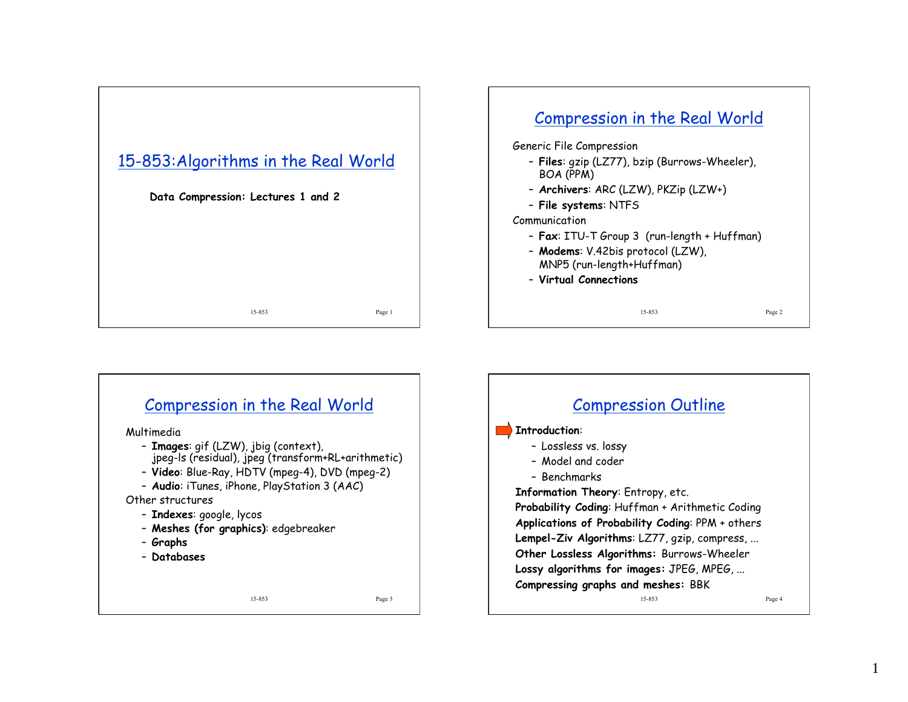





1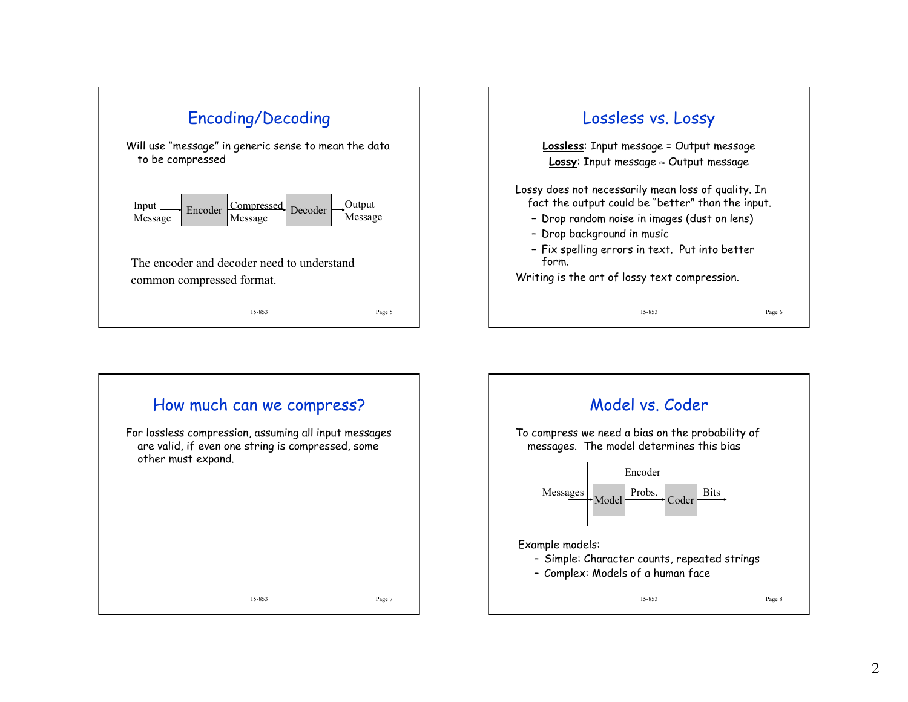



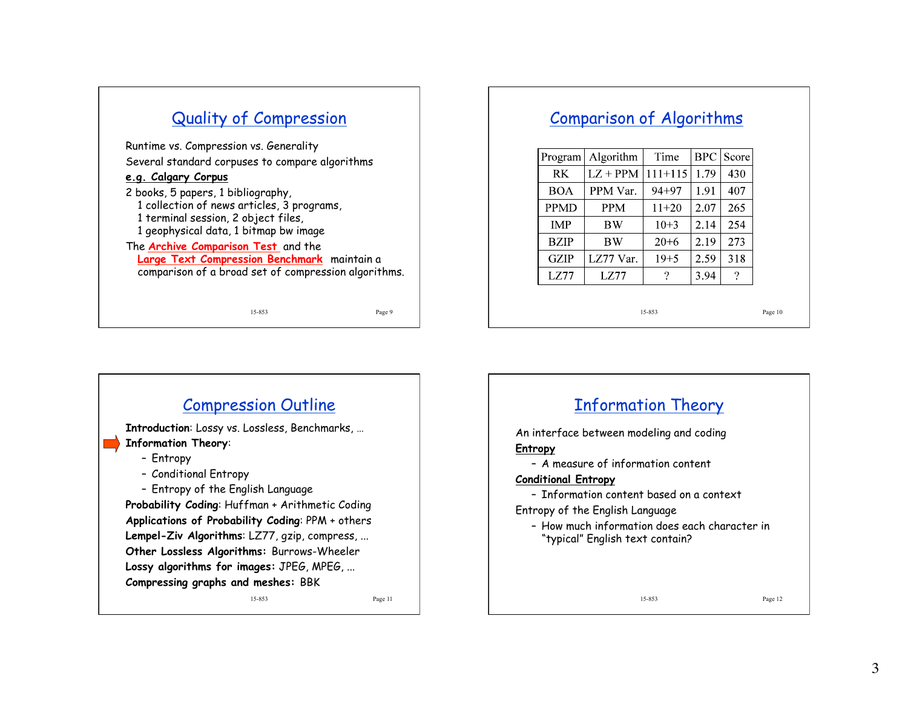## Quality of Compression

Runtime vs. Compression vs. Generality Several standard corpuses to compare algorithms

#### **e.g. Calgary Corpus**

2 books, 5 papers, 1 bibliography, 1 collection of news articles, 3 programs, 1 terminal session, 2 object files, 1 geophysical data, 1 bitmap bw image

The **Archive Comparison Test** and the **Large Text Compression Benchmark** maintain a comparison of a broad set of compression algorithms.

15-853 Page 9

#### Comparison of Algorithms

| Program     | Algorithm  | Time        |      | <b>BPC</b> Score |
|-------------|------------|-------------|------|------------------|
| <b>RK</b>   | $LZ + PPM$ | $111 + 115$ | 1.79 | 430              |
| <b>BOA</b>  | PPM Var.   | $94 + 97$   | 1.91 | 407              |
| <b>PPMD</b> | <b>PPM</b> | $11+20$     | 2.07 | 265              |
| <b>IMP</b>  | <b>BW</b>  | $10+3$      | 2.14 | 254              |
| <b>BZIP</b> | <b>BW</b>  | $20+6$      | 2.19 | 273              |
| <b>GZIP</b> | LZ77 Var.  | $19 + 5$    | 2.59 | 318              |
| LZ77        | LZ77       |             | 3.94 | ?                |

15-853 Page 10



# Information Theory

An interface between modeling and coding **Entropy** 

– A measure of information content

#### **Conditional Entropy**

– Information content based on a context

Entropy of the English Language

– How much information does each character in "typical" English text contain?

15-853 Page 12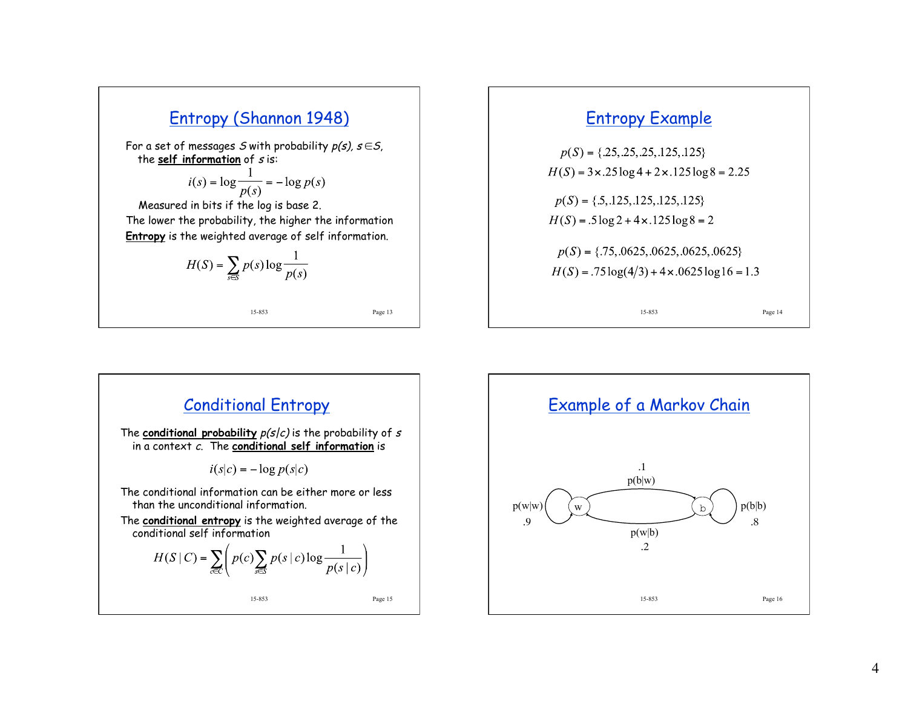

For a set of messages S with probability  $p(s)$ ,  $s \in S$ , the **self information** of s is:

$$
i(s) = \log \frac{1}{p(s)} = -\log p(s)
$$

 Measured in bits if the log is base 2. The lower the probability, the higher the information **Entropy** is the weighted average of self information.

$$
H(S) = \sum_{s \in S} p(s) \log \frac{1}{p(s)}
$$

15-853 Page 13

#### Entropy Example





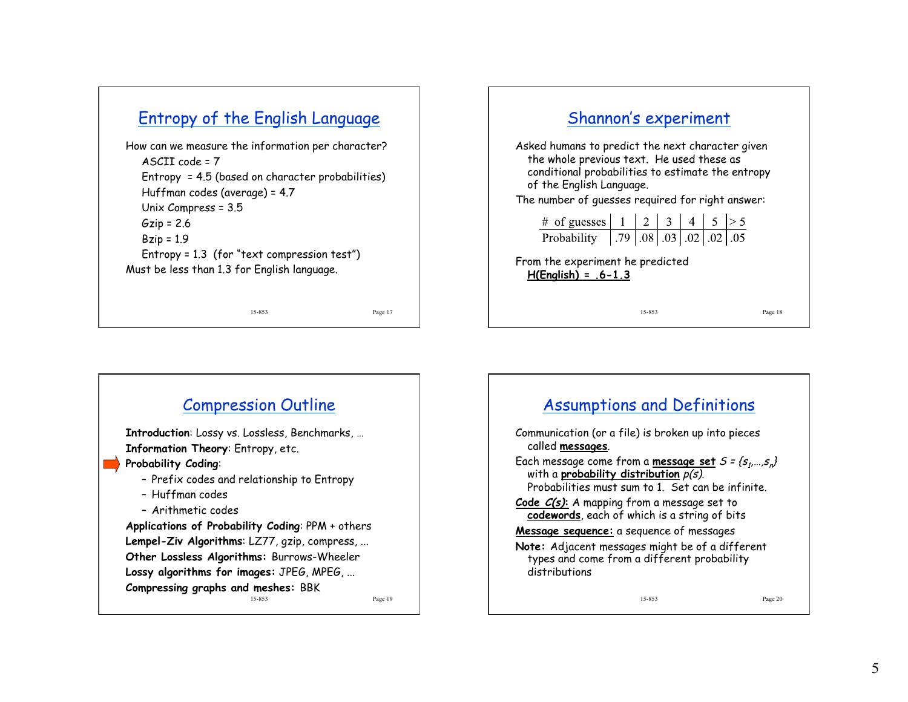### Entropy of the English Language

How can we measure the information per character? ASCII code = 7 Entropy = 4.5 (based on character probabilities) Huffman codes (average) = 4.7 Unix Compress = 3.5  $Gzip = 2.6$  $Bzip = 1.9$ Entropy = 1.3 (for "text compression test") Must be less than 1.3 for English language.

15-853 Page 17





#### 15-853 Page 20 Assumptions and Definitions Communication (or a file) is broken up into pieces called **messages**. Each message come from a <u>message set</u> *S = {s<sub>1</sub>,…,s<sub>n</sub>}* with a **probability distribution** p(s). Probabilities must sum to 1. Set can be infinite. **Code C(s):** A mapping from a message set to **codewords**, each of which is a string of bits **Message sequence:** a sequence of messages **Note:** Adjacent messages might be of a different types and come from a different probability distributions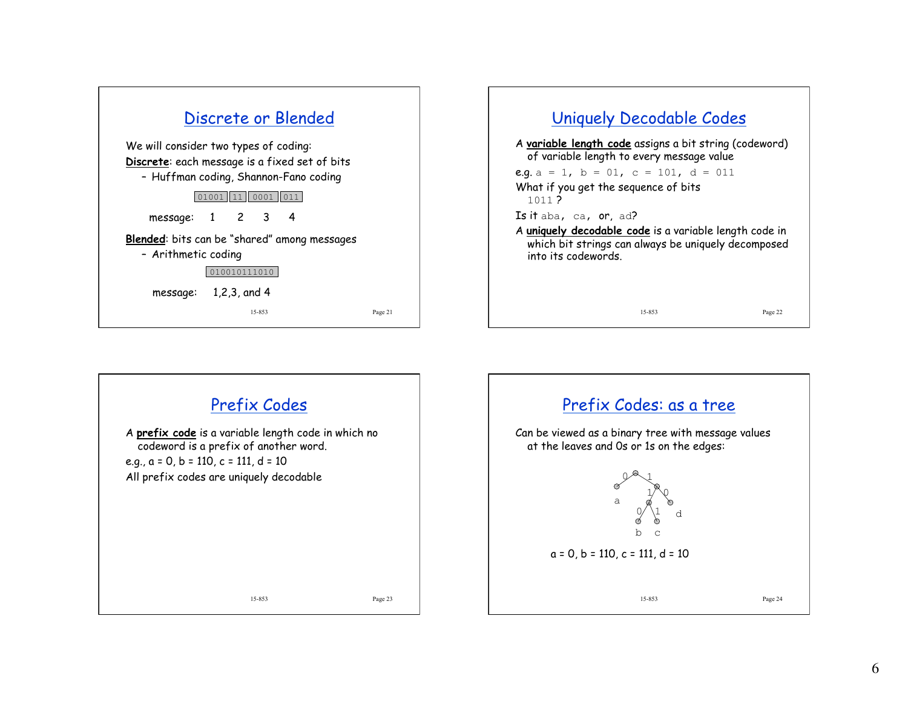|                                                                                                                                 |       |              |        | Discrete or Blended |  |         |  |
|---------------------------------------------------------------------------------------------------------------------------------|-------|--------------|--------|---------------------|--|---------|--|
| We will consider two types of coding:<br>Discrete: each message is a fixed set of bits<br>- Huffman coding, Shannon-Fano coding |       |              |        |                     |  |         |  |
|                                                                                                                                 | 01001 | 11           | 0001   |                     |  |         |  |
| message: 1 2 3 4                                                                                                                |       |              |        |                     |  |         |  |
| <b>Blended:</b> bits can be "shared" among messages<br>- Arithmetic coding                                                      |       | 010010111010 |        |                     |  |         |  |
| message: $1,2,3$ , and 4                                                                                                        |       |              | 15-853 |                     |  | Page 21 |  |
|                                                                                                                                 |       |              |        |                     |  |         |  |

## 15-853 Page 22 Uniquely Decodable Codes A **variable length code** assigns a bit string (codeword) of variable length to every message value e.g.  $a = 1$ ,  $b = 01$ ,  $c = 101$ ,  $d = 011$ What if you get the sequence of bits 1011 ? Is it aba, ca, or, ad? A **uniquely decodable code** is a variable length code in which bit strings can always be uniquely decomposed into its codewords.

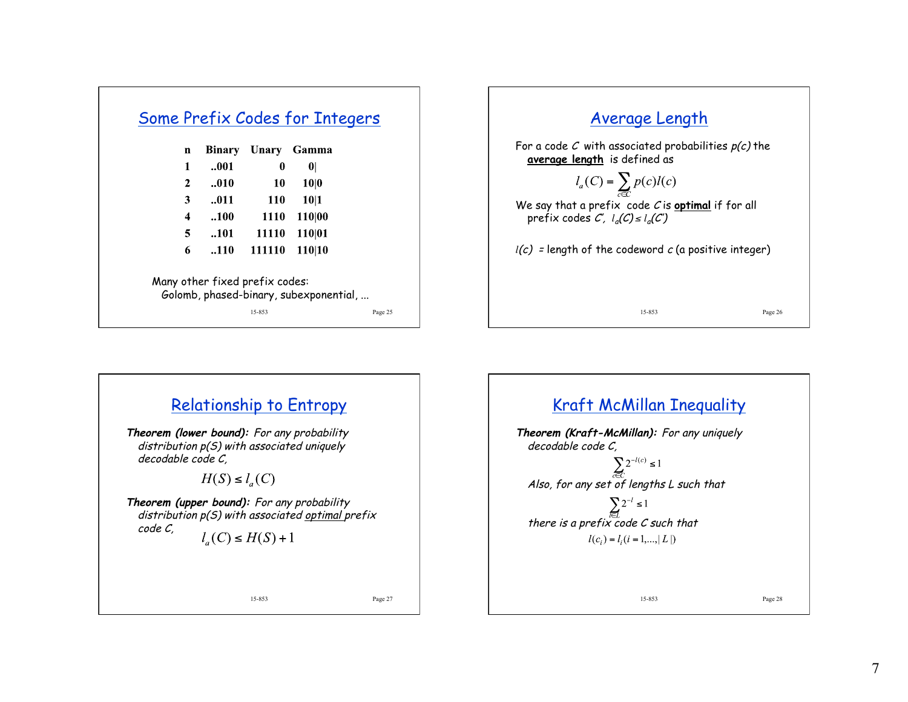| n | <b>Binary</b> | Unary       | Gamma        |
|---|---------------|-------------|--------------|
| 1 | 001           | 0           | $\mathbf{0}$ |
| 2 | 010           | 10          | 10 0         |
| 3 | .011          | 110         | 10 1         |
| 4 | .100          | <b>1110</b> | 110 00       |
| 5 | 101           | 11110       | 110 01       |
| 6 | .110          | 111110      | 110 10       |





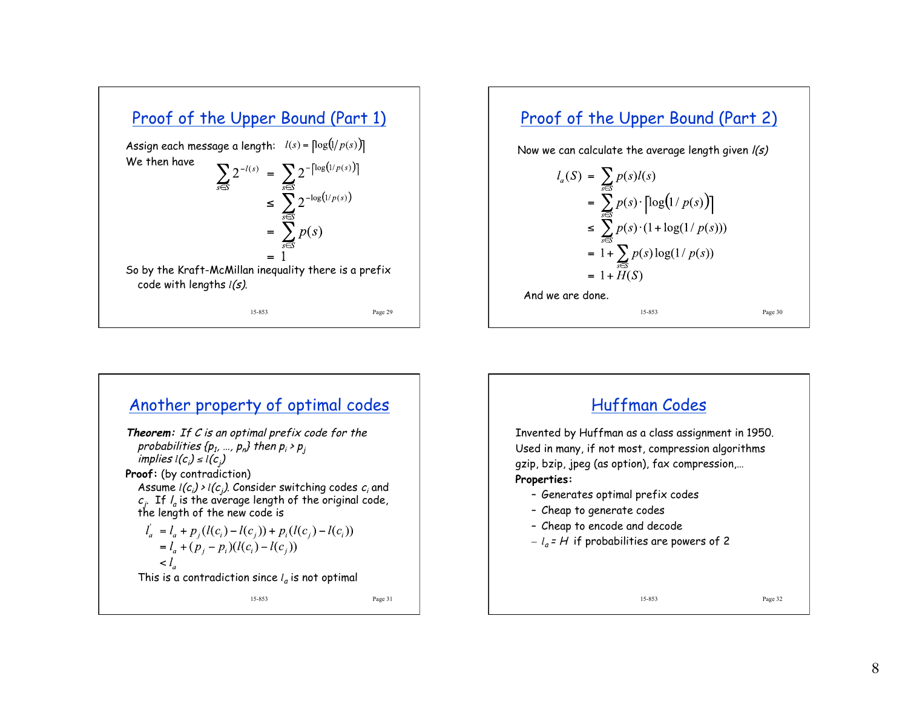



#### Another property of optimal codes **Theorem:** If C is an optimal prefix code for the probabilities {p $_1$ , …, p $_n$ } then p $_i$  > p $_j$ implies l(c<sub>i</sub>) ≤ l(c<sub>j</sub>) **Proof:** (by contradiction) Assume  $l(c_i) \rightarrow l(c_j)$ . Consider switching codes  $c_i$  and  $c_j^{\phantom{\dagger}}$  . If  $l_a$  is the average length of the original code, the length of the new code is  $l_a = l_a + p_i(l(c_i) - l(c_j)) + p_i(l(c_j) - l(c_i))$  $= l_a + (p_i - p_i)(l(c_i) - l(c_i))$  $l<_{\alpha}$ This is a contradiction since  $l_a$  is not optimal 15-853 Page 31

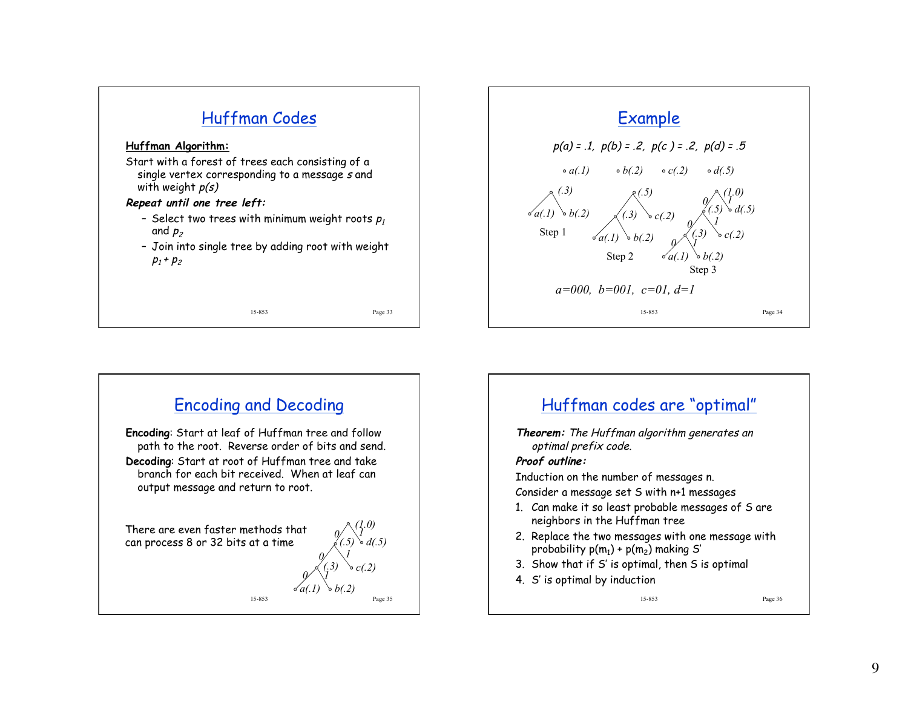





### Huffman codes are "optimal"

**Theorem:** The Huffman algorithm generates an optimal prefix code.

#### **Proof outline:**

Induction on the number of messages n.

Consider a message set S with n+1 messages

- 1. Can make it so least probable messages of S are neighbors in the Huffman tree
- 2. Replace the two messages with one message with probability  $p(m_1) + p(m_2)$  making S'
- 3. Show that if S' is optimal, then S is optimal
- 4. S' is optimal by induction

15-853 Page 36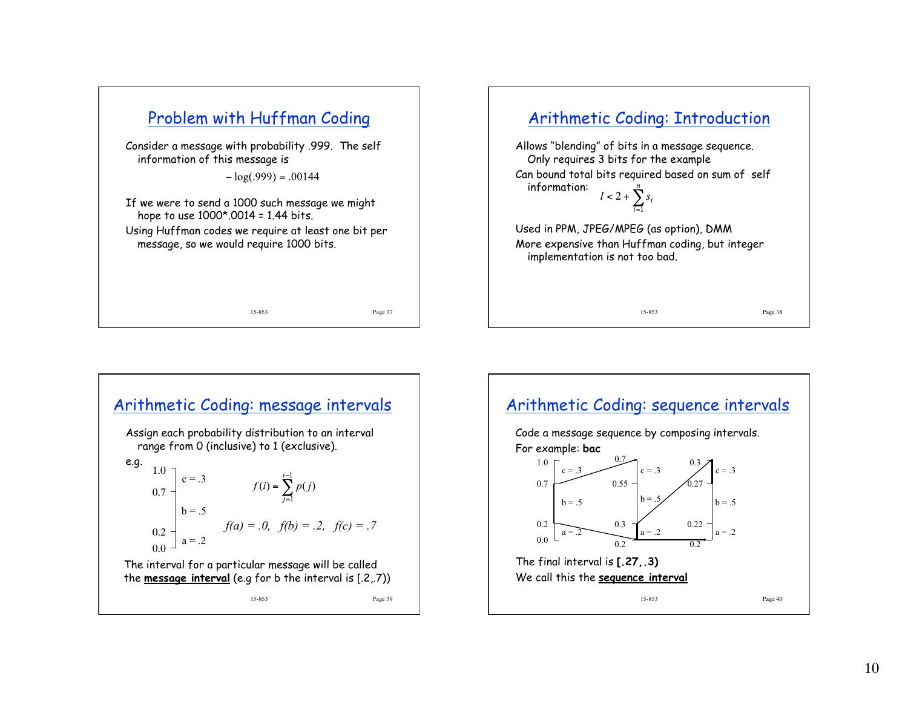



15-853 Page 39 Arithmetic Coding: message intervals Assign each probability distribution to an interval range from 0 (inclusive) to 1 (exclusive). e.g.  $a = .2$  $c = .3$  $b = .5$ 0.0  $0.2 0.7 1.0$  $f(a) = .0, f(b) = .2, f(c) = .7$ The interval for a particular message will be called the **message interval** (e.g for b the interval is [.2,.7))

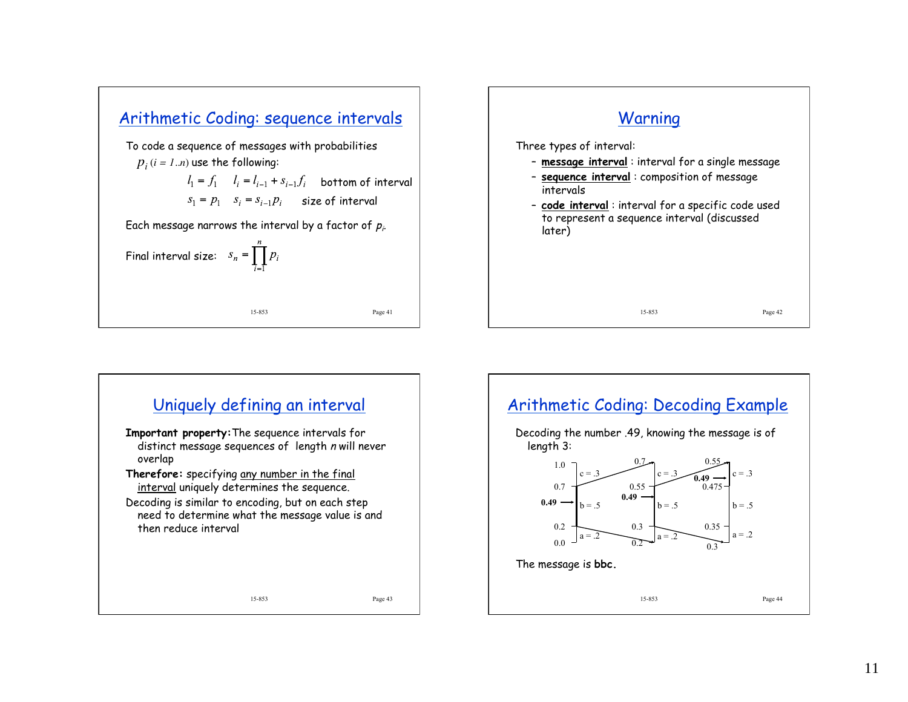





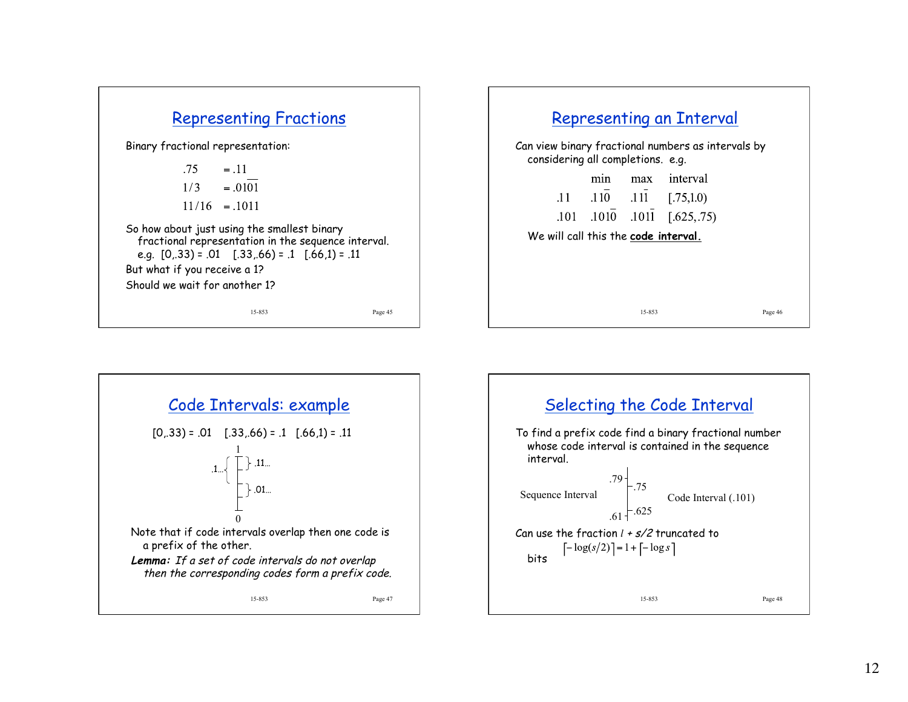





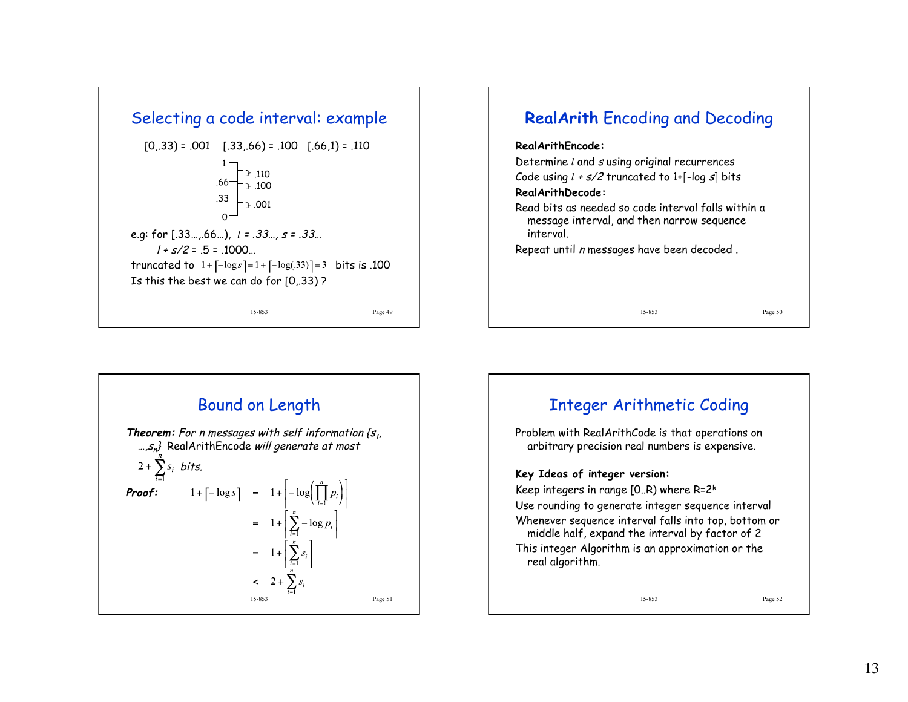





## 15-853 Page 52 Integer Arithmetic Coding Problem with RealArithCode is that operations on arbitrary precision real numbers is expensive. **Key Ideas of integer version:**  Keep integers in range  $[0..R)$  where R=2<sup>k</sup> Use rounding to generate integer sequence interval Whenever sequence interval falls into top, bottom or middle half, expand the interval by factor of 2 This integer Algorithm is an approximation or the real algorithm.